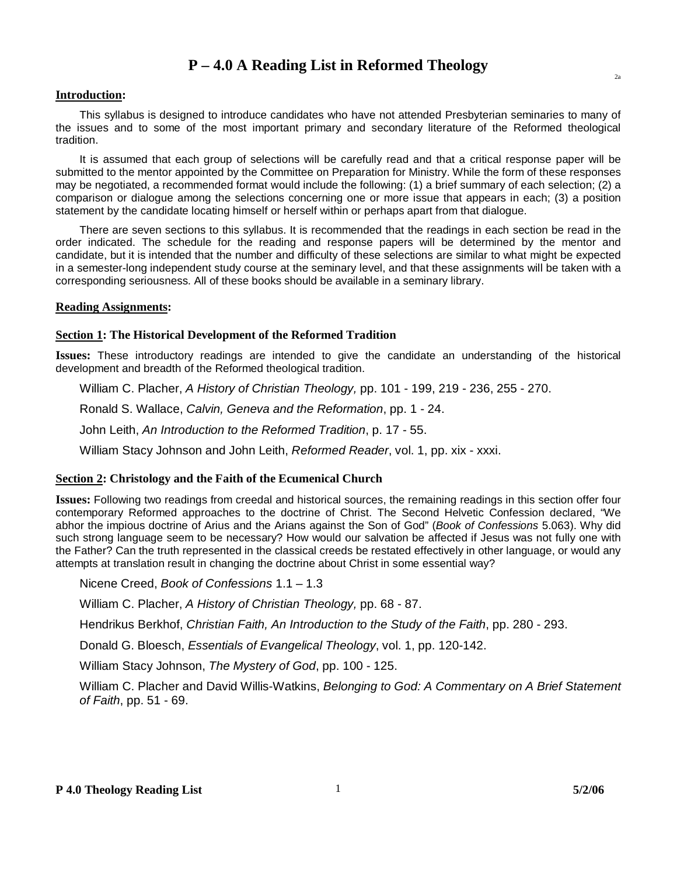# **P – 4.0 A Reading List in Reformed Theology**

#### **Introduction:**

This syllabus is designed to introduce candidates who have not attended Presbyterian seminaries to many of the issues and to some of the most important primary and secondary literature of the Reformed theological tradition.

It is assumed that each group of selections will be carefully read and that a critical response paper will be submitted to the mentor appointed by the Committee on Preparation for Ministry. While the form of these responses may be negotiated, a recommended format would include the following: (1) a brief summary of each selection; (2) a comparison or dialogue among the selections concerning one or more issue that appears in each; (3) a position statement by the candidate locating himself or herself within or perhaps apart from that dialogue.

There are seven sections to this syllabus. It is recommended that the readings in each section be read in the order indicated. The schedule for the reading and response papers will be determined by the mentor and candidate, but it is intended that the number and difficulty of these selections are similar to what might be expected in a semester-long independent study course at the seminary level, and that these assignments will be taken with a corresponding seriousness. All of these books should be available in a seminary library.

#### **Reading Assignments:**

#### **Section 1: The Historical Development of the Reformed Tradition**

**Issues:** These introductory readings are intended to give the candidate an understanding of the historical development and breadth of the Reformed theological tradition.

William C. Placher, *A History of Christian Theology,* pp. 101 - 199, 219 - 236, 255 - 270.

Ronald S. Wallace, *Calvin, Geneva and the Reformation*, pp. 1 - 24.

John Leith, *An Introduction to the Reformed Tradition*, p. 17 - 55.

William Stacy Johnson and John Leith, *Reformed Reader*, vol. 1, pp. xix - xxxi.

#### **Section 2: Christology and the Faith of the Ecumenical Church**

**Issues:** Following two readings from creedal and historical sources, the remaining readings in this section offer four contemporary Reformed approaches to the doctrine of Christ. The Second Helvetic Confession declared, "We abhor the impious doctrine of Arius and the Arians against the Son of God" (*Book of Confessions* 5.063). Why did such strong language seem to be necessary? How would our salvation be affected if Jesus was not fully one with the Father? Can the truth represented in the classical creeds be restated effectively in other language, or would any attempts at translation result in changing the doctrine about Christ in some essential way?

Nicene Creed, *Book of Confessions* 1.1 – 1.3

William C. Placher, *A History of Christian Theology,* pp. 68 - 87.

Hendrikus Berkhof, *Christian Faith, An Introduction to the Study of the Faith*, pp. 280 - 293.

Donald G. Bloesch, *Essentials of Evangelical Theology*, vol. 1, pp. 120-142.

William Stacy Johnson, *The Mystery of God*, pp. 100 - 125.

William C. Placher and David Willis-Watkins, *Belonging to God: A Commentary on A Brief Statement of Faith*, pp. 51 - 69.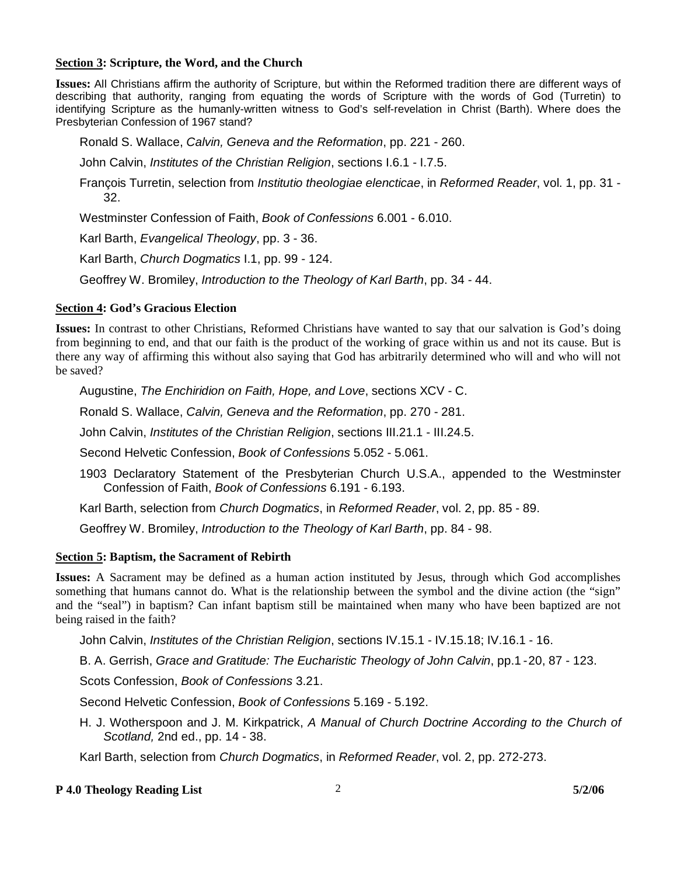### **Section 3: Scripture, the Word, and the Church**

**Issues:** All Christians affirm the authority of Scripture, but within the Reformed tradition there are different ways of describing that authority, ranging from equating the words of Scripture with the words of God (Turretin) to identifying Scripture as the humanly-written witness to God's self-revelation in Christ (Barth). Where does the Presbyterian Confession of 1967 stand?

Ronald S. Wallace, *Calvin, Geneva and the Reformation*, pp. 221 - 260.

John Calvin, *Institutes of the Christian Religion*, sections I.6.1 - I.7.5.

François Turretin, selection from *Institutio theologiae elencticae*, in *Reformed Reader*, vol. 1, pp. 31 - 32.

Westminster Confession of Faith, *Book of Confessions* 6.001 - 6.010.

Karl Barth, *Evangelical Theology*, pp. 3 - 36.

Karl Barth, *Church Dogmatics* I.1, pp. 99 - 124.

Geoffrey W. Bromiley, *Introduction to the Theology of Karl Barth*, pp. 34 - 44.

### **Section 4: God's Gracious Election**

**Issues:** In contrast to other Christians, Reformed Christians have wanted to say that our salvation is God's doing from beginning to end, and that our faith is the product of the working of grace within us and not its cause. But is there any way of affirming this without also saying that God has arbitrarily determined who will and who will not be saved?

Augustine, *The Enchiridion on Faith, Hope, and Love*, sections XCV - C.

Ronald S. Wallace, *Calvin, Geneva and the Reformation*, pp. 270 - 281.

John Calvin, *Institutes of the Christian Religion*, sections III.21.1 - III.24.5.

Second Helvetic Confession, *Book of Confessions* 5.052 - 5.061.

1903 Declaratory Statement of the Presbyterian Church U.S.A., appended to the Westminster Confession of Faith, *Book of Confessions* 6.191 - 6.193.

Karl Barth, selection from *Church Dogmatics*, in *Reformed Reader*, vol. 2, pp. 85 - 89.

Geoffrey W. Bromiley, *Introduction to the Theology of Karl Barth*, pp. 84 - 98.

#### **Section 5: Baptism, the Sacrament of Rebirth**

**Issues:** A Sacrament may be defined as a human action instituted by Jesus, through which God accomplishes something that humans cannot do. What is the relationship between the symbol and the divine action (the "sign" and the "seal") in baptism? Can infant baptism still be maintained when many who have been baptized are not being raised in the faith?

John Calvin, *Institutes of the Christian Religion*, sections IV.15.1 - IV.15.18; IV.16.1 - 16.

B. A. Gerrish, *Grace and Gratitude: The Eucharistic Theology of John Calvin*, pp.1 -20, 87 - 123.

Scots Confession, *Book of Confessions* 3.21.

Second Helvetic Confession, *Book of Confessions* 5.169 - 5.192.

H. J. Wotherspoon and J. M. Kirkpatrick, *A Manual of Church Doctrine According to the Church of Scotland,* 2nd ed., pp. 14 - 38.

Karl Barth, selection from *Church Dogmatics*, in *Reformed Reader*, vol. 2, pp. 272-273.

## **P 4.0 Theology Reading List** 2 **5/2/06**